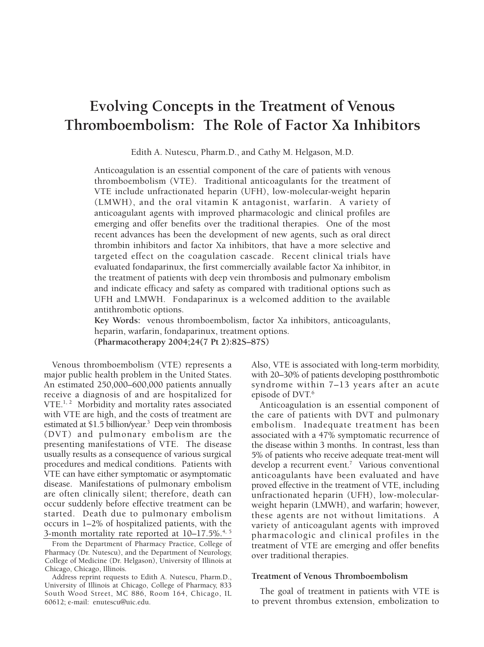# **Evolving Concepts in the Treatment of Venous Thromboembolism: The Role of Factor Xa Inhibitors**

Edith A. Nutescu, Pharm.D., and Cathy M. Helgason, M.D.

Anticoagulation is an essential component of the care of patients with venous thromboembolism (VTE). Traditional anticoagulants for the treatment of VTE include unfractionated heparin (UFH), low-molecular-weight heparin (LMWH), and the oral vitamin K antagonist, warfarin. A variety of anticoagulant agents with improved pharmacologic and clinical profiles are emerging and offer benefits over the traditional therapies. One of the most recent advances has been the development of new agents, such as oral direct thrombin inhibitors and factor Xa inhibitors, that have a more selective and targeted effect on the coagulation cascade. Recent clinical trials have evaluated fondaparinux, the first commercially available factor Xa inhibitor, in the treatment of patients with deep vein thrombosis and pulmonary embolism and indicate efficacy and safety as compared with traditional options such as UFH and LMWH. Fondaparinux is a welcomed addition to the available antithrombotic options.

**Key Words:** venous thromboembolism, factor Xa inhibitors, anticoagulants, heparin, warfarin, fondaparinux, treatment options.

**(Pharmacotherapy 2004;24(7 Pt 2):82S–87S)**

Venous thromboembolism (VTE) represents a major public health problem in the United States. An estimated 250,000–600,000 patients annually receive a diagnosis of and are hospitalized for  $VTE<sup>1, 2</sup>$  Morbidity and mortality rates associated with VTE are high, and the costs of treatment are estimated at \$1.5 billion/year.3 Deep vein thrombosis (DVT) and pulmonary embolism are the presenting manifestations of VTE. The disease usually results as a consequence of various surgical procedures and medical conditions. Patients with VTE can have either symptomatic or asymptomatic disease. Manifestations of pulmonary embolism are often clinically silent; therefore, death can occur suddenly before effective treatment can be started. Death due to pulmonary embolism occurs in 1–2% of hospitalized patients, with the 3-month mortality rate reported at  $10-17.5\%$ .<sup>4, 5</sup>

From the Department of Pharmacy Practice, College of Pharmacy (Dr. Nutescu), and the Department of Neurology, College of Medicine (Dr. Helgason), University of Illinois at Chicago, Chicago, Illinois.

Address reprint requests to Edith A. Nutescu, Pharm.D., University of Illinois at Chicago, College of Pharmacy, 833 South Wood Street, MC 886, Room 164, Chicago, IL 60612; e-mail: enutescu@uic.edu.

Also, VTE is associated with long-term morbidity, with 20–30% of patients developing postthrombotic syndrome within 7–13 years after an acute episode of DVT.<sup>6</sup>

Anticoagulation is an essential component of the care of patients with DVT and pulmonary embolism. Inadequate treatment has been associated with a 47% symptomatic recurrence of the disease within 3 months. In contrast, less than 5% of patients who receive adequate treat-ment will develop a recurrent event.<sup>7</sup> Various conventional anticoagulants have been evaluated and have proved effective in the treatment of VTE, including unfractionated heparin (UFH), low-molecularweight heparin (LMWH), and warfarin; however, these agents are not without limitations. A variety of anticoagulant agents with improved pharmacologic and clinical profiles in the treatment of VTE are emerging and offer benefits over traditional therapies.

## **Treatment of Venous Thromboembolism**

The goal of treatment in patients with VTE is to prevent thrombus extension, embolization to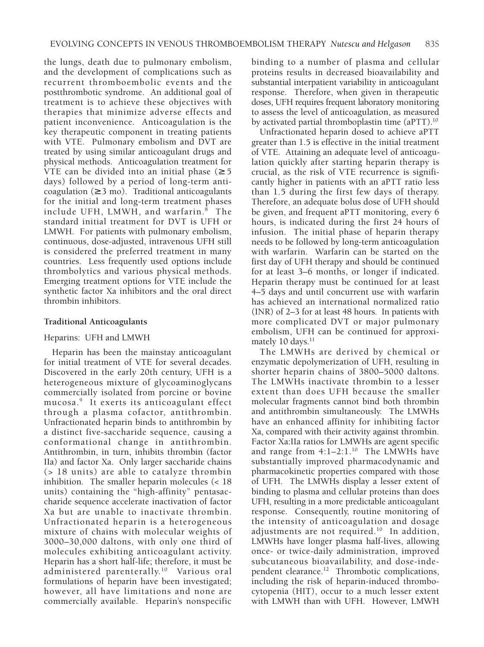the lungs, death due to pulmonary embolism, and the development of complications such as recurrent thromboembolic events and the postthrombotic syndrome. An additional goal of treatment is to achieve these objectives with therapies that minimize adverse effects and patient inconvenience. Anticoagulation is the key therapeutic component in treating patients with VTE. Pulmonary embolism and DVT are treated by using similar anticoagulant drugs and physical methods. Anticoagulation treatment for VTE can be divided into an initial phase  $(≥ 5$ days) followed by a period of long-term anticoagulation  $(≥ 3$  mo). Traditional anticoagulants for the initial and long-term treatment phases include UFH, LMWH, and warfarin.<sup>8</sup> The standard initial treatment for DVT is UFH or LMWH. For patients with pulmonary embolism, continuous, dose-adjusted, intravenous UFH still is considered the preferred treatment in many countries. Less frequently used options include thrombolytics and various physical methods. Emerging treatment options for VTE include the synthetic factor Xa inhibitors and the oral direct thrombin inhibitors.

#### **Traditional Anticoagulants**

### Heparins: UFH and LMWH

Heparin has been the mainstay anticoagulant for initial treatment of VTE for several decades. Discovered in the early 20th century, UFH is a heterogeneous mixture of glycoaminoglycans commercially isolated from porcine or bovine mucosa.9 It exerts its anticoagulant effect through a plasma cofactor, antithrombin. Unfractionated heparin binds to antithrombin by a distinct five-saccharide sequence, causing a conformational change in antithrombin. Antithrombin, in turn, inhibits thrombin (factor IIa) and factor Xa. Only larger saccharide chains (> 18 units) are able to catalyze thrombin inhibition. The smaller heparin molecules (< 18 units) containing the "high-affinity" pentasaccharide sequence accelerate inactivation of factor Xa but are unable to inactivate thrombin. Unfractionated heparin is a heterogeneous mixture of chains with molecular weights of 3000–30,000 daltons, with only one third of molecules exhibiting anticoagulant activity. Heparin has a short half-life; therefore, it must be administered parenterally.10 Various oral formulations of heparin have been investigated; however, all have limitations and none are commercially available. Heparin's nonspecific

binding to a number of plasma and cellular proteins results in decreased bioavailability and substantial interpatient variability in anticoagulant response. Therefore, when given in therapeutic doses, UFH requires frequent laboratory monitoring to assess the level of anticoagulation, as measured by activated partial thromboplastin time (aPTT).<sup>10</sup>

Unfractionated heparin dosed to achieve aPTT greater than 1.5 is effective in the initial treatment of VTE. Attaining an adequate level of anticoagulation quickly after starting heparin therapy is crucial, as the risk of VTE recurrence is significantly higher in patients with an aPTT ratio less than 1.5 during the first few days of therapy. Therefore, an adequate bolus dose of UFH should be given, and frequent aPTT monitoring, every 6 hours, is indicated during the first 24 hours of infusion. The initial phase of heparin therapy needs to be followed by long-term anticoagulation with warfarin. Warfarin can be started on the first day of UFH therapy and should be continued for at least 3–6 months, or longer if indicated. Heparin therapy must be continued for at least 4–5 days and until concurrent use with warfarin has achieved an international normalized ratio (INR) of 2–3 for at least 48 hours. In patients with more complicated DVT or major pulmonary embolism, UFH can be continued for approximately 10 days.<sup>11</sup>

The LMWHs are derived by chemical or enzymatic depolymerization of UFH, resulting in shorter heparin chains of 3800–5000 daltons. The LMWHs inactivate thrombin to a lesser extent than does UFH because the smaller molecular fragments cannot bind both thrombin and antithrombin simultaneously. The LMWHs have an enhanced affinity for inhibiting factor Xa, compared with their activity against thrombin. Factor Xa:IIa ratios for LMWHs are agent specific and range from  $4:1-2:1.^{10}$  The LMWHs have substantially improved pharmacodynamic and pharmacokinetic properties compared with those of UFH. The LMWHs display a lesser extent of binding to plasma and cellular proteins than does UFH, resulting in a more predictable anticoagulant response. Consequently, routine monitoring of the intensity of anticoagulation and dosage adjustments are not required.<sup>10</sup> In addition, LMWHs have longer plasma half-lives, allowing once- or twice-daily administration, improved subcutaneous bioavailability, and dose-independent clearance.<sup>12</sup> Thrombotic complications, including the risk of heparin-induced thrombocytopenia (HIT), occur to a much lesser extent with LMWH than with UFH. However, LMWH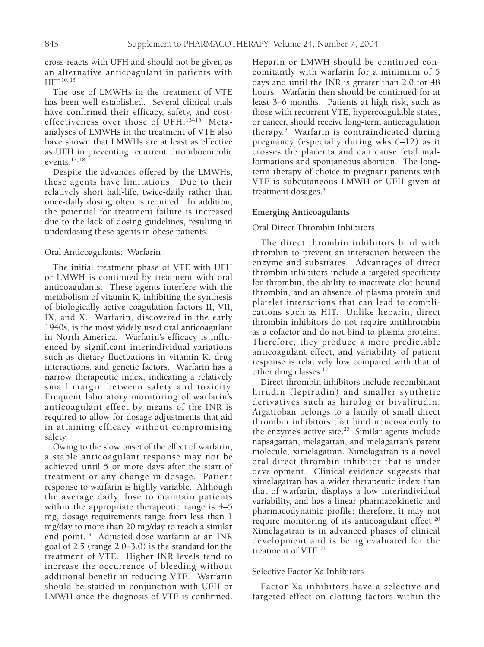cross-reacts with UFH and should not be given as an alternative anticoagulant in patients with HIT.10, 13

The use of LMWHs in the treatment of VTE has been well established. Several clinical trials have confirmed their efficacy, safety, and costeffectiveness over those of UFH.<sup>13-16</sup> Metaanalyses of LMWHs in the treatment of VTE also have shown that LMWHs are at least as effective as UFH in preventing recurrent thromboembolic events.17, 18

Despite the advances offered by the LMWHs, these agents have limitations. Due to their relatively short half-life, twice-daily rather than once-daily dosing often is required. In addition, the potential for treatment failure is increased due to the lack of dosing guidelines, resulting in underdosing these agents in obese patients.

### Oral Anticoagulants: Warfarin

The initial treatment phase of VTE with UFH or LMWH is continued by treatment with oral anticoagulants. These agents interfere with the metabolism of vitamin K, inhibiting the synthesis of biologically active coagulation factors II, VII, IX, and X. Warfarin, discovered in the early 1940s, is the most widely used oral anticoagulant in North America. Warfarin's efficacy is influenced by significant interindividual variations such as dietary fluctuations in vitamin K, drug interactions, and genetic factors. Warfarin has a narrow therapeutic index, indicating a relatively small margin between safety and toxicity. Frequent laboratory monitoring of warfarin's anticoagulant effect by means of the INR is required to allow for dosage adjustments that aid in attaining efficacy without compromising safety.

Owing to the slow onset of the effect of warfarin, a stable anticoagulant response may not be achieved until 5 or more days after the start of treatment or any change in dosage. Patient response to warfarin is highly variable. Although the average daily dose to maintain patients within the appropriate therapeutic range is 4–5 mg, dosage requirements range from less than 1 mg/day to more than 20 mg/day to reach a similar end point.19 Adjusted-dose warfarin at an INR goal of 2.5 (range 2.0–3.0) is the standard for the treatment of VTE. Higher INR levels tend to increase the occurrence of bleeding without additional benefit in reducing VTE. Warfarin should be started in conjunction with UFH or LMWH once the diagnosis of VTE is confirmed. Heparin or LMWH should be continued concomitantly with warfarin for a minimum of 5 days and until the INR is greater than 2.0 for 48 hours. Warfarin then should be continued for at least 3–6 months. Patients at high risk, such as those with recurrent VTE, hypercoagulable states, or cancer, should receive long-term anticoagulation therapy.8 Warfarin is contraindicated during pregnancy (especially during wks 6–12) as it crosses the placenta and can cause fetal malformations and spontaneous abortion. The longterm therapy of choice in pregnant patients with VTE is subcutaneous LMWH or UFH given at treatment dosages.<sup>8</sup>

#### **Emerging Anticoagulants**

## Oral Direct Thrombin Inhibitors

The direct thrombin inhibitors bind with thrombin to prevent an interaction between the enzyme and substrates. Advantages of direct thrombin inhibitors include a targeted specificity for thrombin, the ability to inactivate clot-bound thrombin, and an absence of plasma protein and platelet interactions that can lead to complications such as HIT. Unlike heparin, direct thrombin inhibitors do not require antithrombin as a cofactor and do not bind to plasma proteins. Therefore, they produce a more predictable anticoagulant effect, and variability of patient response is relatively low compared with that of other drug classes.<sup>12</sup>

Direct thrombin inhibitors include recombinant hirudin (lepirudin) and smaller synthetic derivatives such as hirulog or bivalirudin. Argatroban belongs to a family of small direct thrombin inhibitors that bind noncovalently to the enzyme's active site.<sup>20</sup> Similar agents include napsagatran, melagatran, and melagatran's parent molecule, ximelagatran. Ximelagatran is a novel oral direct thrombin inhibitor that is under development. Clinical evidence suggests that ximelagatran has a wider therapeutic index than that of warfarin, displays a low interindividual variability, and has a linear pharmacokinetic and pharmacodynamic profile; therefore, it may not require monitoring of its anticoagulant effect. 20 Ximelagatran is in advanced phases of clinical development and is being evaluated for the treatment of VTF<sup>21</sup>

#### Selective Factor Xa Inhibitors

Factor Xa inhibitors have a selective and targeted effect on clotting factors within the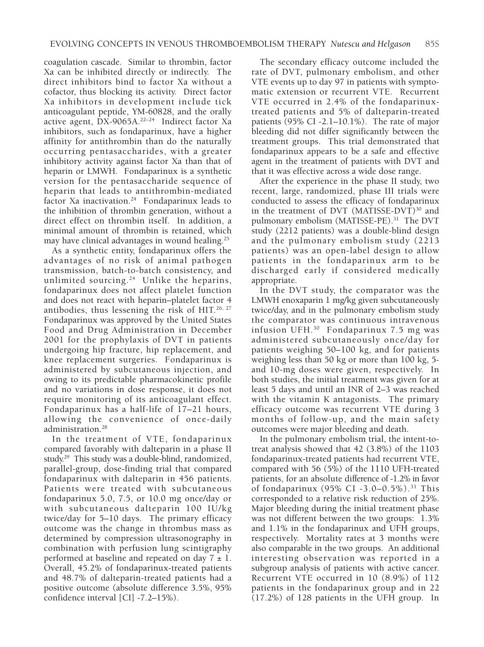coagulation cascade. Similar to thrombin, factor Xa can be inhibited directly or indirectly. The direct inhibitors bind to factor Xa without a cofactor, thus blocking its activity. Direct factor Xa inhibitors in development include tick anticoagulant peptide, YM-60828, and the orally active agent, DX-9065A.22–24 Indirect factor Xa inhibitors, such as fondaparinux, have a higher affinity for antithrombin than do the naturally occurring pentasaccharides, with a greater inhibitory activity against factor Xa than that of heparin or LMWH. Fondaparinux is a synthetic version for the pentasaccharide sequence of heparin that leads to antithrombin-mediated factor Xa inactivation.<sup>24</sup> Fondaparinux leads to the inhibition of thrombin generation, without a direct effect on thrombin itself. In addition, a minimal amount of thrombin is retained, which may have clinical advantages in wound healing.25

As a synthetic entity, fondaparinux offers the advantages of no risk of animal pathogen transmission, batch-to-batch consistency, and unlimited sourcing.<sup>24</sup> Unlike the heparins, fondaparinux does not affect platelet function and does not react with heparin–platelet factor 4 antibodies, thus lessening the risk of HIT.<sup>26, 27</sup> Fondaparinux was approved by the United States Food and Drug Administration in December 2001 for the prophylaxis of DVT in patients undergoing hip fracture, hip replacement, and knee replacement surgeries. Fondaparinux is administered by subcutaneous injection, and owing to its predictable pharmacokinetic profile and no variations in dose response, it does not require monitoring of its anticoagulant effect. Fondaparinux has a half-life of 17–21 hours, allowing the convenience of once-daily administration.<sup>28</sup>

In the treatment of VTE, fondaparinux compared favorably with dalteparin in a phase II study.29 This study was a double-blind, randomized, parallel-group, dose-finding trial that compared fondaparinux with dalteparin in 456 patients. Patients were treated with subcutaneous fondaparinux 5.0, 7.5, or 10.0 mg once/day or with subcutaneous dalteparin 100 IU/kg twice/day for 5–10 days. The primary efficacy outcome was the change in thrombus mass as determined by compression ultrasonography in combination with perfusion lung scintigraphy performed at baseline and repeated on day  $7 \pm 1$ . Overall, 45.2% of fondaparinux-treated patients and 48.7% of dalteparin-treated patients had a positive outcome (absolute difference 3.5%, 95% confidence interval [CI] -7.2–15%).

The secondary efficacy outcome included the rate of DVT, pulmonary embolism, and other VTE events up to day 97 in patients with symptomatic extension or recurrent VTE. Recurrent VTE occurred in 2.4% of the fondaparinuxtreated patients and 5% of dalteparin-treated patients (95% CI -2.1–10.1%). The rate of major bleeding did not differ significantly between the treatment groups. This trial demonstrated that fondaparinux appears to be a safe and effective agent in the treatment of patients with DVT and that it was effective across a wide dose range.

After the experience in the phase II study, two recent, large, randomized, phase III trials were conducted to assess the efficacy of fondaparinux in the treatment of DVT (MATISSE-DVT)<sup>30</sup> and pulmonary embolism (MATISSE-PE).<sup>31</sup> The DVT study (2212 patients) was a double-blind design and the pulmonary embolism study (2213 patients) was an open-label design to allow patients in the fondaparinux arm to be discharged early if considered medically appropriate.

In the DVT study, the comparator was the LMWH enoxaparin 1 mg/kg given subcutaneously twice/day, and in the pulmonary embolism study the comparator was continuous intravenous infusion UFH.30 Fondaparinux 7.5 mg was administered subcutaneously once/day for patients weighing 50–100 kg, and for patients weighing less than 50 kg or more than 100 kg, 5 and 10-mg doses were given, respectively. In both studies, the initial treatment was given for at least 5 days and until an INR of 2–3 was reached with the vitamin K antagonists. The primary efficacy outcome was recurrent VTE during 3 months of follow-up, and the main safety outcomes were major bleeding and death.

In the pulmonary embolism trial, the intent-totreat analysis showed that 42 (3.8%) of the 1103 fondaparinux-treated patients had recurrent VTE, compared with 56 (5%) of the 1110 UFH-treated patients, for an absolute difference of -1.2% in favor of fondaparinux (95% CI -3.0–0.5%).<sup>31</sup> This corresponded to a relative risk reduction of 25%. Major bleeding during the initial treatment phase was not different between the two groups: 1.3% and 1.1% in the fondaparinux and UFH groups, respectively. Mortality rates at 3 months were also comparable in the two groups. An additional interesting observation was reported in a subgroup analysis of patients with active cancer. Recurrent VTE occurred in 10 (8.9%) of 112 patients in the fondaparinux group and in 22 (17.2%) of 128 patients in the UFH group. In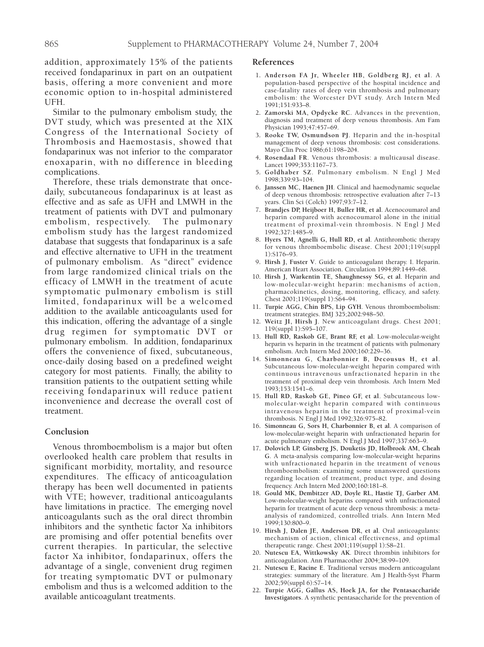addition, approximately 15% of the patients received fondaparinux in part on an outpatient basis, offering a more convenient and more economic option to in-hospital administered UFH.

Similar to the pulmonary embolism study, the DVT study, which was presented at the XIX Congress of the International Society of Thrombosis and Haemostasis, showed that fondaparinux was not inferior to the comparator enoxaparin, with no difference in bleeding complications.

Therefore, these trials demonstrate that oncedaily, subcutaneous fondaparinux is at least as effective and as safe as UFH and LMWH in the treatment of patients with DVT and pulmonary embolism, respectively. The pulmonary embolism study has the largest randomized database that suggests that fondaparinux is a safe and effective alternative to UFH in the treatment of pulmonary embolism. As "direct" evidence from large randomized clinical trials on the efficacy of LMWH in the treatment of acute symptomatic pulmonary embolism is still limited, fondaparinux will be a welcomed addition to the available anticoagulants used for this indication, offering the advantage of a single drug regimen for symptomatic DVT or pulmonary embolism. In addition, fondaparinux offers the convenience of fixed, subcutaneous, once-daily dosing based on a predefined weight category for most patients. Finally, the ability to transition patients to the outpatient setting while receiving fondaparinux will reduce patient inconvenience and decrease the overall cost of treatment.

#### **Conclusion**

Venous thromboembolism is a major but often overlooked health care problem that results in significant morbidity, mortality, and resource expenditures. The efficacy of anticoagulation therapy has been well documented in patients with VTE; however, traditional anticoagulants have limitations in practice. The emerging novel anticoagulants such as the oral direct thrombin inhibitors and the synthetic factor Xa inhibitors are promising and offer potential benefits over current therapies. In particular, the selective factor Xa inhibitor, fondaparinux, offers the advantage of a single, convenient drug regimen for treating symptomatic DVT or pulmonary embolism and thus is a welcomed addition to the available anticoagulant treatments.

#### **References**

- 1**. Anderson FA Jr, Wheeler HB, Goldberg RJ, et al**. A population-based perspective of the hospital incidence and case-fatality rates of deep vein thrombosis and pulmonary embolism: the Worcester DVT study. Arch Intern Med 1991;151:933–8.
- 2**. Zamorski MA, Opdycke RC**. Advances in the prevention, diagnosis and treatment of deep venous thrombosis. Am Fam Physician 1993;47:457–69.
- 3**. Rooke TW, Osmundson PJ**. Heparin and the in-hospital management of deep venous thrombosis: cost considerations. Mayo Clin Proc 1986;61:198–204.
- 4**. Rosendaal FR**. Venous thrombosis: a multicausal disease. Lancet 1999;353:1167–73.
- 5**. Goldhaber SZ**. Pulmonary embolism. N Engl J Med 1998;339:93–104.
- 6**. Janssen MC, Haenen JH**. Clinical and haemodynamic sequelae of deep venous thrombosis: retrospective evaluation after 7–13 years. Clin Sci (Colch) 1997;93:7–12.
- 7**. Brandjes DP, Heijboer H, Buller HR, et al**. Acenocoumarol and heparin compared with acenocoumarol alone in the initial treatment of proximal-vein thrombosis. N Engl J Med 1992;327:1485–9.
- 8**. Hyers TM, Agnelli G, Hull RD, et al**. Antithrombotic therapy for venous thromboembolic disease. Chest 2001;119(suppl 1):S176–93.
- 9**. Hirsh J, Fuster V**. Guide to anticoagulant therapy. I. Heparin. American Heart Association. Circulation 1994;89:1449–68.
- 10**. Hirsh J, Warkentin TE, Shaughnessy SG, et al**. Heparin and low-molecular-weight heparin: mechanisms of action, pharmacokinetics, dosing, monitoring, efficacy, and safety. Chest 2001;119(suppl 1):S64–94.
- 11**. Turpie AGG, Chin BPS, Lip GYH**. Venous thromboembolism: treatment strategies. BMJ 325;2002:948–50.
- 12**. Weitz JI, Hirsh J**. New anticoagulant drugs. Chest 2001; 119(suppl 1):S95–107.
- 13**. Hull RD, Raskob GE, Brant RF, et al**. Low-molecular-weight heparin vs heparin in the treatment of patients with pulmonary embolism. Arch Intern Med 2000;160:229–36.
- 14**. Simonneau G, Charbonnier B, Decousus H, et al**. Subcutaneous low-molecular-weight heparin compared with continuous intravenous unfractionated heparin in the treatment of proximal deep vein thrombosis. Arch Intern Med 1993;153:1541–6.
- 15**. Hull RD, Raskob GE, Pineo GF, et al**. Subcutaneous lowmolecular-weight heparin compared with continuous intravenous heparin in the treatment of proximal-vein thrombosis. N Engl J Med 1992;326:975–82.
- 16**. Simonneau G, Sors H, Charbonnier B, et al**. A comparison of low-molecular-weight heparin with unfractionated heparin for acute pulmonary embolism. N Engl J Med 1997;337:663–9.
- 17**. Dolovich LP, Ginsberg JS, Douketis JD, Holbrook AM, Cheah G**. A meta-analysis comparing low-molecular-weight heparins with unfractionated heparin in the treatment of venous thromboembolism: examining some unanswered questions regarding location of treatment, product type, and dosing frequency. Arch Intern Med 2000;160:181–8.
- 18**. Gould MK, Dembitzer AD, Doyle RL, Hastie TJ, Garber AM**. Low-molecular-weight heparins compared with unfractionated heparin for treatment of acute deep venous thrombosis: a metaanalysis of randomized, controlled trials. Ann Intern Med 1999;130:800–9.
- 19**. Hirsh J, Dalen JE, Anderson DR, et al**. Oral anticoagulants: mechanism of action, clinical effectiveness, and optimal therapeutic range. Chest 2001;119(suppl 1):S8–21.
- 20**. Nutescu EA, Wittkowsky AK**. Direct thrombin inhibitors for anticoagulation. Ann Pharmacother 2004;38:99–109.
- 21**. Nutescu E, Racine E**. Traditional versus modern anticoagulant strategies: summary of the literature. Am J Health-Syst Pharm 2002;59(suppl 6):S7–14.
- 22**. Turpie AGG, Gallus AS, Hoek JA, for the Pentasaccharide Investigators**. A synthetic pentasaccharide for the prevention of